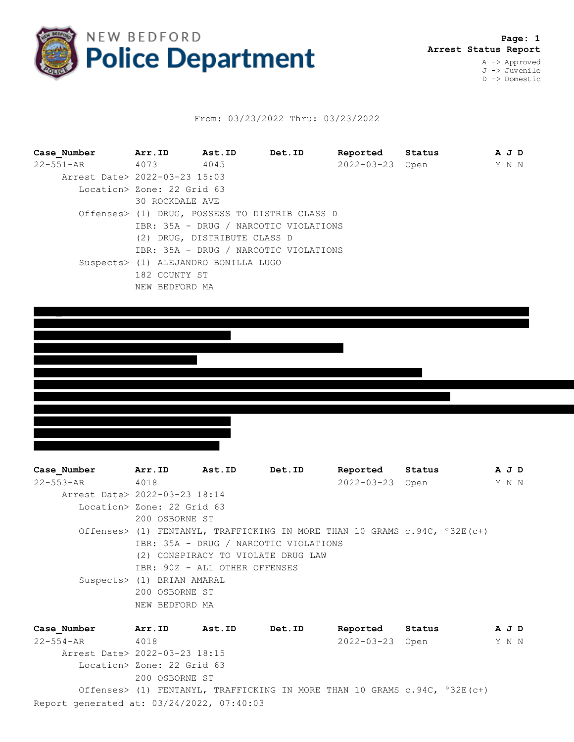

## From: 03/23/2022 Thru: 03/23/2022

**Case\_Number Arr.ID Ast.ID Det.ID Reported Status A J D** 22-551-AR 4073 4045 2022-03-23 Open Y N N Arrest Date> 2022-03-23 15:03 Location> Zone: 22 Grid 63 30 ROCKDALE AVE Offenses> (1) DRUG, POSSESS TO DISTRIB CLASS D IBR: 35A - DRUG / NARCOTIC VIOLATIONS (2) DRUG, DISTRIBUTE CLASS D IBR: 35A - DRUG / NARCOTIC VIOLATIONS Suspects> (1) ALEJANDRO BONILLA LUGO 182 COUNTY ST NEW BEDFORD MA



**Case\_Number Arr.ID Ast.ID Det.ID Reported Status A J D** 22-553-AR 4018 2022-03-23 Open Y N N Arrest Date> 2022-03-23 18:14 Location> Zone: 22 Grid 63 200 OSBORNE ST Offenses> (1) FENTANYL, TRAFFICKING IN MORE THAN 10 GRAMS c.94C, º32E(c+) IBR: 35A - DRUG / NARCOTIC VIOLATIONS (2) CONSPIRACY TO VIOLATE DRUG LAW IBR: 90Z - ALL OTHER OFFENSES Suspects> (1) BRIAN AMARAL 200 OSBORNE ST NEW BEDFORD MA

Report generated at: 03/24/2022, 07:40:03 **Case\_Number Arr.ID Ast.ID Det.ID Reported Status A J D** 22-554-AR 4018 2022-03-23 Open Y N N Arrest Date> 2022-03-23 18:15 Location> Zone: 22 Grid 63 200 OSBORNE ST Offenses> (1) FENTANYL, TRAFFICKING IN MORE THAN 10 GRAMS c.94C, º32E(c+)